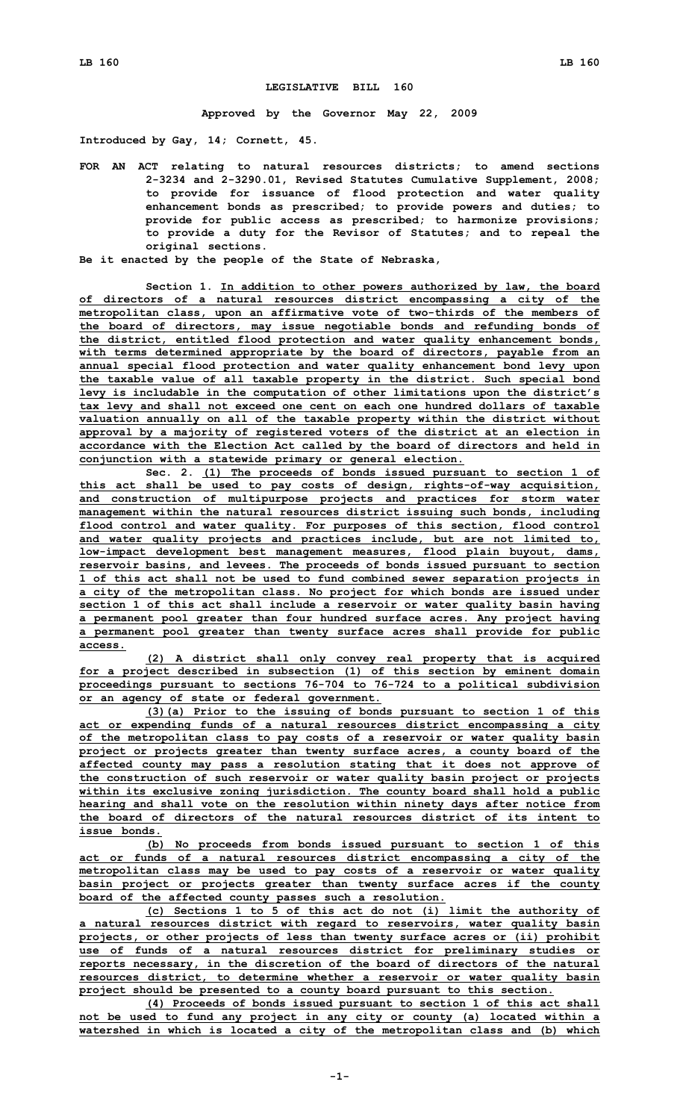## **LEGISLATIVE BILL 160**

**Approved by the Governor May 22, 2009**

**Introduced by Gay, 14; Cornett, 45.**

**FOR AN ACT relating to natural resources districts; to amend sections 2-3234 and 2-3290.01, Revised Statutes Cumulative Supplement, 2008; to provide for issuance of flood protection and water quality enhancement bonds as prescribed; to provide powers and duties; to provide for public access as prescribed; to harmonize provisions; to provide <sup>a</sup> duty for the Revisor of Statutes; and to repeal the original sections.**

**Be it enacted by the people of the State of Nebraska,**

**Section 1. In addition to other powers authorized by law, the board of directors of <sup>a</sup> natural resources district encompassing <sup>a</sup> city of the metropolitan class, upon an affirmative vote of two-thirds of the members of the board of directors, may issue negotiable bonds and refunding bonds of the district, entitled flood protection and water quality enhancement bonds, with terms determined appropriate by the board of directors, payable from an annual special flood protection and water quality enhancement bond levy upon the taxable value of all taxable property in the district. Such special bond levy is includable in the computation of other limitations upon the district's tax levy and shall not exceed one cent on each one hundred dollars of taxable valuation annually on all of the taxable property within the district without approval by <sup>a</sup> majority of registered voters of the district at an election in accordance with the Election Act called by the board of directors and held in conjunction with <sup>a</sup> statewide primary or general election.**

**Sec. 2. (1) The proceeds of bonds issued pursuant to section 1 of this act shall be used to pay costs of design, rights-of-way acquisition, and construction of multipurpose projects and practices for storm water management within the natural resources district issuing such bonds, including flood control and water quality. For purposes of this section, flood control and water quality projects and practices include, but are not limited to, low-impact development best management measures, flood plain buyout, dams, reservoir basins, and levees. The proceeds of bonds issued pursuant to section 1 of this act shall not be used to fund combined sewer separation projects in <sup>a</sup> city of the metropolitan class. No project for which bonds are issued under section 1 of this act shall include <sup>a</sup> reservoir or water quality basin having <sup>a</sup> permanent pool greater than four hundred surface acres. Any project having <sup>a</sup> permanent pool greater than twenty surface acres shall provide for public access.**

**(2) <sup>A</sup> district shall only convey real property that is acquired for <sup>a</sup> project described in subsection (1) of this section by eminent domain proceedings pursuant to sections 76-704 to 76-724 to <sup>a</sup> political subdivision or an agency of state or federal government.**

**(3)(a) Prior to the issuing of bonds pursuant to section 1 of this act or expending funds of <sup>a</sup> natural resources district encompassing <sup>a</sup> city of the metropolitan class to pay costs of <sup>a</sup> reservoir or water quality basin project or projects greater than twenty surface acres, <sup>a</sup> county board of the affected county may pass <sup>a</sup> resolution stating that it does not approve of the construction of such reservoir or water quality basin project or projects within its exclusive zoning jurisdiction. The county board shall hold <sup>a</sup> public hearing and shall vote on the resolution within ninety days after notice from the board of directors of the natural resources district of its intent to issue bonds.**

**(b) No proceeds from bonds issued pursuant to section 1 of this act or funds of <sup>a</sup> natural resources district encompassing <sup>a</sup> city of the metropolitan class may be used to pay costs of <sup>a</sup> reservoir or water quality basin project or projects greater than twenty surface acres if the county board of the affected county passes such <sup>a</sup> resolution.**

**(c) Sections 1 to 5 of this act do not (i) limit the authority of <sup>a</sup> natural resources district with regard to reservoirs, water quality basin projects, or other projects of less than twenty surface acres or (ii) prohibit use of funds of <sup>a</sup> natural resources district for preliminary studies or reports necessary, in the discretion of the board of directors of the natural resources district, to determine whether <sup>a</sup> reservoir or water quality basin project should be presented to <sup>a</sup> county board pursuant to this section.**

**(4) Proceeds of bonds issued pursuant to section 1 of this act shall not be used to fund any project in any city or county (a) located within <sup>a</sup> watershed in which is located <sup>a</sup> city of the metropolitan class and (b) which**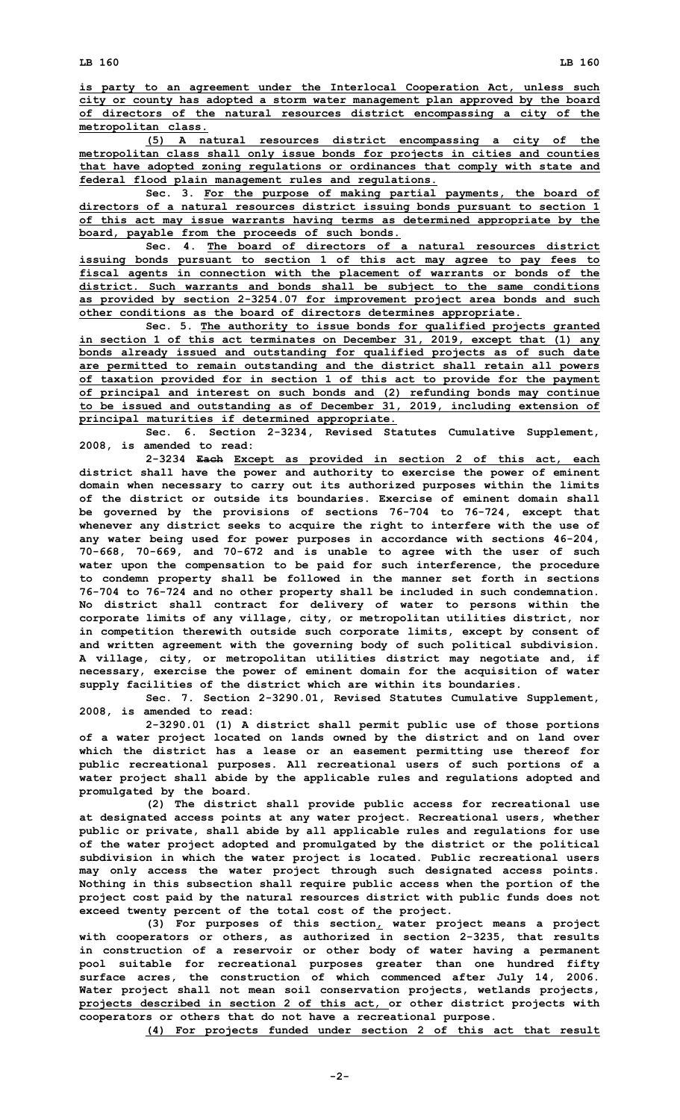**is party to an agreement under the Interlocal Cooperation Act, unless such city or county has adopted <sup>a</sup> storm water management plan approved by the board of directors of the natural resources district encompassing <sup>a</sup> city of the metropolitan class.**

**(5) <sup>A</sup> natural resources district encompassing <sup>a</sup> city of the metropolitan class shall only issue bonds for projects in cities and counties that have adopted zoning regulations or ordinances that comply with state and federal flood plain management rules and regulations.**

**Sec. 3. For the purpose of making partial payments, the board of directors of <sup>a</sup> natural resources district issuing bonds pursuant to section 1 of this act may issue warrants having terms as determined appropriate by the board, payable from the proceeds of such bonds.**

**Sec. 4. The board of directors of a natural resources district issuing bonds pursuant to section 1 of this act may agree to pay fees to fiscal agents in connection with the placement of warrants or bonds of the district. Such warrants and bonds shall be subject to the same conditions as provided by section 2-3254.07 for improvement project area bonds and such other conditions as the board of directors determines appropriate.**

**Sec. 5. The authority to issue bonds for qualified projects granted in section 1 of this act terminates on December 31, 2019, except that (1) any bonds already issued and outstanding for qualified projects as of such date are permitted to remain outstanding and the district shall retain all powers of taxation provided for in section 1 of this act to provide for the payment of principal and interest on such bonds and (2) refunding bonds may continue to be issued and outstanding as of December 31, 2019, including extension of principal maturities if determined appropriate.**

**Sec. 6. Section 2-3234, Revised Statutes Cumulative Supplement, 2008, is amended to read:**

**2-3234 Each Except as provided in section 2 of this act, each district shall have the power and authority to exercise the power of eminent domain when necessary to carry out its authorized purposes within the limits of the district or outside its boundaries. Exercise of eminent domain shall be governed by the provisions of sections 76-704 to 76-724, except that whenever any district seeks to acquire the right to interfere with the use of any water being used for power purposes in accordance with sections 46-204, 70-668, 70-669, and 70-672 and is unable to agree with the user of such water upon the compensation to be paid for such interference, the procedure to condemn property shall be followed in the manner set forth in sections 76-704 to 76-724 and no other property shall be included in such condemnation. No district shall contract for delivery of water to persons within the corporate limits of any village, city, or metropolitan utilities district, nor in competition therewith outside such corporate limits, except by consent of and written agreement with the governing body of such political subdivision. A village, city, or metropolitan utilities district may negotiate and, if necessary, exercise the power of eminent domain for the acquisition of water supply facilities of the district which are within its boundaries.**

**Sec. 7. Section 2-3290.01, Revised Statutes Cumulative Supplement, 2008, is amended to read:**

**2-3290.01 (1) <sup>A</sup> district shall permit public use of those portions of <sup>a</sup> water project located on lands owned by the district and on land over which the district has <sup>a</sup> lease or an easement permitting use thereof for public recreational purposes. All recreational users of such portions of <sup>a</sup> water project shall abide by the applicable rules and regulations adopted and promulgated by the board.**

**(2) The district shall provide public access for recreational use at designated access points at any water project. Recreational users, whether public or private, shall abide by all applicable rules and regulations for use of the water project adopted and promulgated by the district or the political subdivision in which the water project is located. Public recreational users may only access the water project through such designated access points. Nothing in this subsection shall require public access when the portion of the project cost paid by the natural resources district with public funds does not exceed twenty percent of the total cost of the project.**

**(3) For purposes of this section, water project means <sup>a</sup> project with cooperators or others, as authorized in section 2-3235, that results in construction of <sup>a</sup> reservoir or other body of water having <sup>a</sup> permanent pool suitable for recreational purposes greater than one hundred fifty surface acres, the construction of which commenced after July 14, 2006. Water project shall not mean soil conservation projects, wetlands projects, projects described in section 2 of this act, or other district projects with cooperators or others that do not have <sup>a</sup> recreational purpose.**

**(4) For projects funded under section 2 of this act that result**